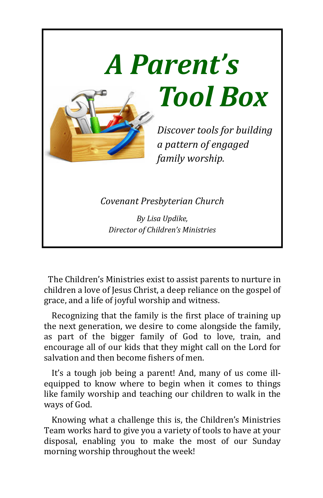

The Children's Ministries exist to assist parents to nurture in children a love of Jesus Christ, a deep reliance on the gospel of grace, and a life of joyful worship and witness.

Recognizing that the family is the first place of training up the next generation, we desire to come alongside the family, as part of the bigger family of God to love, train, and encourage all of our kids that they might call on the Lord for salvation and then become fishers of men.

It's a tough job being a parent! And, many of us come illequipped to know where to begin when it comes to things like family worship and teaching our children to walk in the ways of God.

Knowing what a challenge this is, the Children's Ministries Team works hard to give you a variety of tools to have at your disposal, enabling you to make the most of our Sunday morning worship throughout the week!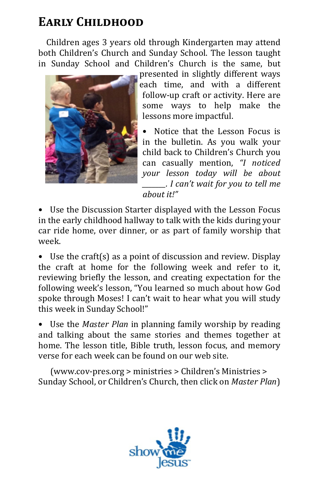## **EARLY CHILDHOOD**

Children ages 3 years old through Kindergarten may attend both Children's Church and Sunday School. The lesson taught in Sunday School and Children's Church is the same, but



presented in slightly different ways each time, and with a different follow-up craft or activity. Here are some ways to help make the lessons more impactful.

Notice that the Lesson Focus is in the bulletin. As you walk vour child back to Children's Church you can casually mention, *"I noticed your lesson today will be about I* can't wait for you to tell me *about it!"*

• Use the Discussion Starter displayed with the Lesson Focus in the early childhood hallway to talk with the kids during your car ride home, over dinner, or as part of family worship that week. 

• Use the craft(s) as a point of discussion and review. Display the craft at home for the following week and refer to it, reviewing briefly the lesson, and creating expectation for the following week's lesson, "You learned so much about how God spoke through Moses! I can't wait to hear what you will study this week in Sunday School!"

• Use the *Master Plan* in planning family worship by reading and talking about the same stories and themes together at home. The lesson title, Bible truth, lesson focus, and memory verse for each week can be found on our web site.

 (www.cov-pres.org > ministries > Children's Ministries > Sunday School, or Children's Church, then click on *Master Plan*)

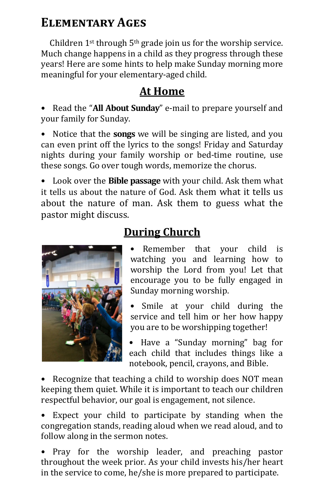### ELEMENTARY AGES

Children  $1^{st}$  through  $5^{th}$  grade join us for the worship service. Much change happens in a child as they progress through these years! Here are some hints to help make Sunday morning more meaningful for your elementary-aged child.

#### **At Home**

• Read the "**All About Sunday**" e-mail to prepare yourself and your family for Sunday.

• Notice that the **songs** we will be singing are listed, and you can even print off the lyrics to the songs! Friday and Saturday nights during your family worship or bed-time routine, use these songs. Go over tough words, memorize the chorus.

• Look over the **Bible passage** with your child. Ask them what it tells us about the nature of God. Ask them what it tells us about the nature of man. Ask them to guess what the pastor might discuss.



### **During Church**

- Remember that your child is watching you and learning how to worship the Lord from you! Let that encourage you to be fully engaged in Sunday morning worship.
- Smile at your child during the service and tell him or her how happy you are to be worshipping together!
- Have a "Sunday morning" bag for each child that includes things like a notebook, pencil, crayons, and Bible.

• Recognize that teaching a child to worship does NOT mean keeping them quiet. While it is important to teach our children respectful behavior, our goal is engagement, not silence.

• Expect your child to participate by standing when the congregation stands, reading aloud when we read aloud, and to follow along in the sermon notes.

• Pray for the worship leader, and preaching pastor throughout the week prior. As your child invests his/her heart in the service to come, he/she is more prepared to participate.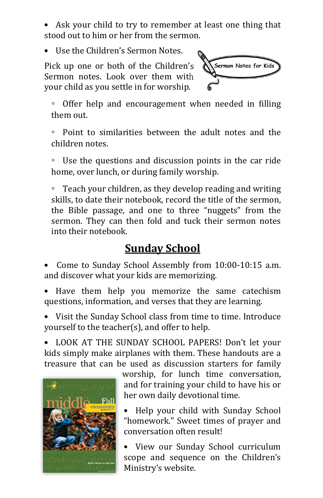Ask your child to try to remember at least one thing that stood out to him or her from the sermon.

Use the Children's Sermon Notes.

Pick up one or both of the Children's Sermon notes. Look over them with your child as you settle in for worship.



Offer help and encouragement when needed in filling them out.

 $\circ$  Point to similarities between the adult notes and the children notes.

 $\degree$  Use the questions and discussion points in the car ride home, over lunch, or during family worship.

 $\degree$  Teach your children, as they develop reading and writing skills, to date their notebook, record the title of the sermon, the Bible passage, and one to three "nuggets" from the sermon. They can then fold and tuck their sermon notes into their notebook.

#### **Sunday School**

Come to Sunday School Assembly from 10:00-10:15 a.m. and discover what your kids are memorizing.

Have them help you memorize the same catechism questions, information, and verses that they are learning.

• Visit the Sunday School class from time to time. Introduce yourself to the teacher(s), and offer to help.

• LOOK AT THE SUNDAY SCHOOL PAPERS! Don't let your kids simply make airplanes with them. These handouts are a treasure that can be used as discussion starters for family



worship, for lunch time conversation, and for training your child to have his or her own daily devotional time.

- Help your child with Sunday School "homework." Sweet times of prayer and conversation often result!
- View our Sunday School curriculum scope and sequence on the Children's Ministry's website.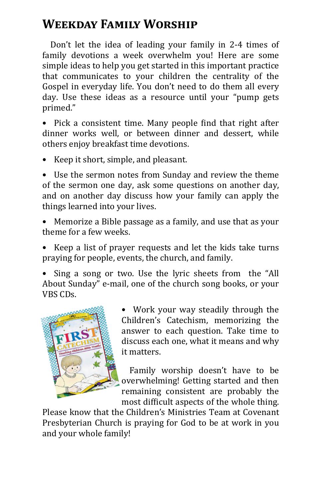# **WEEKDAY FAMILY WORSHIP**

Don't let the idea of leading your family in 2-4 times of family devotions a week overwhelm you! Here are some simple ideas to help you get started in this important practice that communicates to your children the centrality of the Gospel in everyday life. You don't need to do them all every day. Use these ideas as a resource until your "pump gets primed." 

• Pick a consistent time. Many people find that right after dinner works well, or between dinner and dessert, while others enjoy breakfast time devotions.

• Keep it short, simple, and pleasant.

• Use the sermon notes from Sunday and review the theme of the sermon one day, ask some questions on another day, and on another day discuss how your family can apply the things learned into your lives.

• Memorize a Bible passage as a family, and use that as your theme for a few weeks.

• Keep a list of prayer requests and let the kids take turns praying for people, events, the church, and family.

• Sing a song or two. Use the lyric sheets from the "All About Sunday" e-mail, one of the church song books, or your VBS CDs. 



• Work your way steadily through the Children's Catechism, memorizing the answer to each question. Take time to discuss each one, what it means and why it matters.

Family worship doesn't have to be overwhelming! Getting started and then remaining consistent are probably the most difficult aspects of the whole thing.

Please know that the Children's Ministries Team at Covenant Presbyterian Church is praying for God to be at work in you and your whole family!